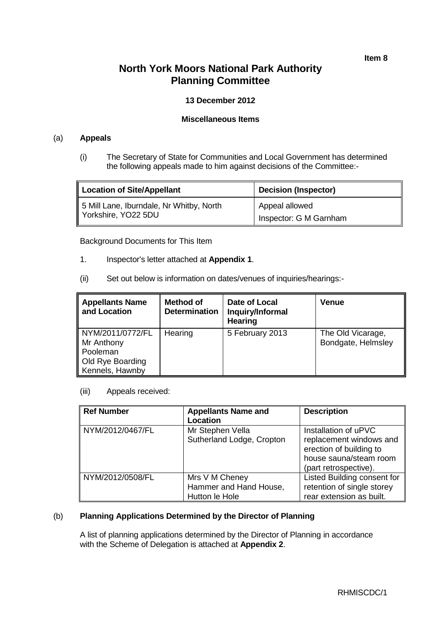**Item 8**

## **North York Moors National Park Authority Planning Committee**

## **13 December 2012**

#### **Miscellaneous Items**

#### (a) **Appeals**

(i) The Secretary of State for Communities and Local Government has determined the following appeals made to him against decisions of the Committee:-

| <b>Location of Site/Appellant</b>        | <b>Decision (Inspector)</b> |
|------------------------------------------|-----------------------------|
| 5 Mill Lane, Iburndale, Nr Whitby, North | Appeal allowed              |
| Yorkshire, YO22 5DU                      | Inspector: G M Garnham      |

Background Documents for This Item

- 1. Inspector's letter attached at **Appendix 1**.
- (ii) Set out below is information on dates/venues of inquiries/hearings:-

| <b>Appellants Name</b><br>and Location                                                   | <b>Method of</b><br><b>Determination</b> | Date of Local<br>Inquiry/Informal<br>Hearing | Venue                                   |
|------------------------------------------------------------------------------------------|------------------------------------------|----------------------------------------------|-----------------------------------------|
| NYM/2011/0772/FL<br>Mr Anthony<br><b>Pooleman</b><br>Old Rye Boarding<br>Kennels, Hawnby | Hearing                                  | 5 February 2013                              | The Old Vicarage,<br>Bondgate, Helmsley |

(iii) Appeals received:

| <b>Ref Number</b> | <b>Appellants Name and</b><br><b>Location</b>              | <b>Description</b>                                                                                                            |
|-------------------|------------------------------------------------------------|-------------------------------------------------------------------------------------------------------------------------------|
| NYM/2012/0467/FL  | Mr Stephen Vella<br>Sutherland Lodge, Cropton              | Installation of uPVC<br>replacement windows and<br>erection of building to<br>house sauna/steam room<br>(part retrospective). |
| NYM/2012/0508/FL  | Mrs V M Cheney<br>Hammer and Hand House,<br>Hutton le Hole | Listed Building consent for<br>retention of single storey<br>rear extension as built.                                         |

## (b) **Planning Applications Determined by the Director of Planning**

A list of planning applications determined by the Director of Planning in accordance with the Scheme of Delegation is attached at **Appendix 2**.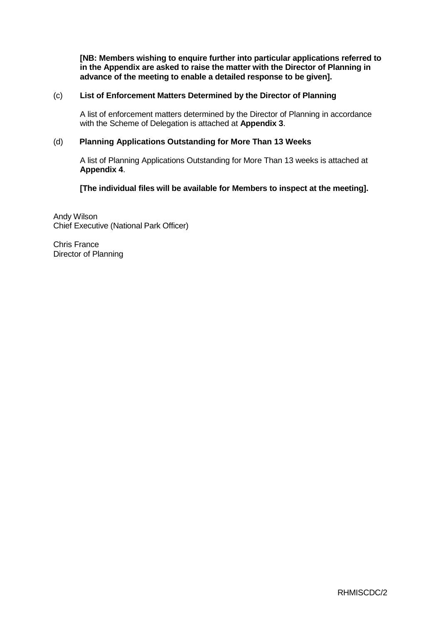**[NB: Members wishing to enquire further into particular applications referred to in the Appendix are asked to raise the matter with the Director of Planning in advance of the meeting to enable a detailed response to be given].**

#### (c) **List of Enforcement Matters Determined by the Director of Planning**

A list of enforcement matters determined by the Director of Planning in accordance with the Scheme of Delegation is attached at **Appendix 3**.

#### (d) **Planning Applications Outstanding for More Than 13 Weeks**

A list of Planning Applications Outstanding for More Than 13 weeks is attached at **Appendix 4**.

**[The individual files will be available for Members to inspect at the meeting].**

Andy Wilson Chief Executive (National Park Officer)

Chris France Director of Planning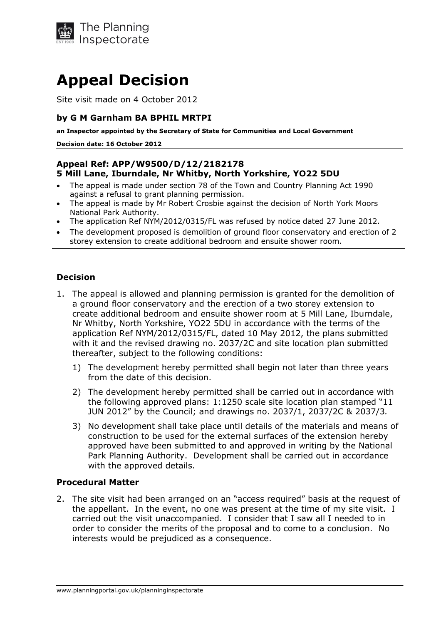

# **Appeal Decision**

Site visit made on 4 October 2012

## **by G M Garnham BA BPHIL MRTPI**

**an Inspector appointed by the Secretary of State for Communities and Local Government** 

**Decision date: 16 October 2012** 

## **Appeal Ref: APP/W9500/D/12/2182178 5 Mill Lane, Iburndale, Nr Whitby, North Yorkshire, YO22 5DU**

- The appeal is made under section 78 of the Town and Country Planning Act 1990 against a refusal to grant planning permission.
- The appeal is made by Mr Robert Crosbie against the decision of North York Moors National Park Authority.
- The application Ref NYM/2012/0315/FL was refused by notice dated 27 June 2012.
- The development proposed is demolition of ground floor conservatory and erection of 2 storey extension to create additional bedroom and ensuite shower room.

## **Decision**

- 1. The appeal is allowed and planning permission is granted for the demolition of a ground floor conservatory and the erection of a two storey extension to create additional bedroom and ensuite shower room at 5 Mill Lane, Iburndale, Nr Whitby, North Yorkshire, YO22 5DU in accordance with the terms of the application Ref NYM/2012/0315/FL, dated 10 May 2012, the plans submitted with it and the revised drawing no. 2037/2C and site location plan submitted thereafter, subject to the following conditions:
	- 1) The development hereby permitted shall begin not later than three years from the date of this decision.
	- 2) The development hereby permitted shall be carried out in accordance with the following approved plans: 1:1250 scale site location plan stamped "11 JUN 2012" by the Council; and drawings no. 2037/1, 2037/2C & 2037/3*.*
	- 3) No development shall take place until details of the materials and means of construction to be used for the external surfaces of the extension hereby approved have been submitted to and approved in writing by the National Park Planning Authority. Development shall be carried out in accordance with the approved details.

#### **Procedural Matter**

2. The site visit had been arranged on an "access required" basis at the request of the appellant. In the event, no one was present at the time of my site visit. I carried out the visit unaccompanied. I consider that I saw all I needed to in order to consider the merits of the proposal and to come to a conclusion. No interests would be prejudiced as a consequence.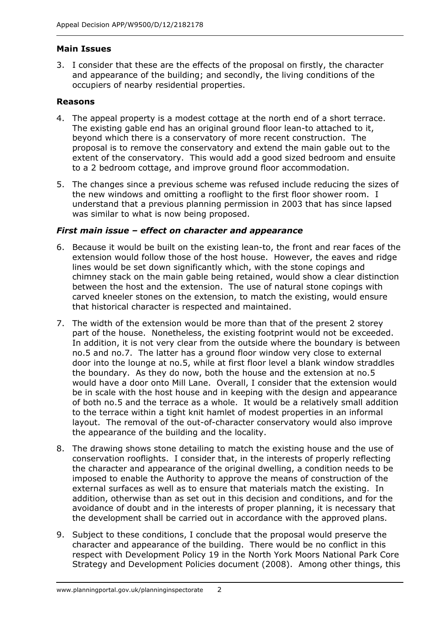## **Main Issues**

3. I consider that these are the effects of the proposal on firstly, the character and appearance of the building; and secondly, the living conditions of the occupiers of nearby residential properties.

## **Reasons**

- 4. The appeal property is a modest cottage at the north end of a short terrace. The existing gable end has an original ground floor lean-to attached to it, beyond which there is a conservatory of more recent construction. The proposal is to remove the conservatory and extend the main gable out to the extent of the conservatory. This would add a good sized bedroom and ensuite to a 2 bedroom cottage, and improve ground floor accommodation.
- 5. The changes since a previous scheme was refused include reducing the sizes of the new windows and omitting a rooflight to the first floor shower room. I understand that a previous planning permission in 2003 that has since lapsed was similar to what is now being proposed.

## *First main issue – effect on character and appearance*

- 6. Because it would be built on the existing lean-to, the front and rear faces of the extension would follow those of the host house. However, the eaves and ridge lines would be set down significantly which, with the stone copings and chimney stack on the main gable being retained, would show a clear distinction between the host and the extension. The use of natural stone copings with carved kneeler stones on the extension, to match the existing, would ensure that historical character is respected and maintained.
- 7. The width of the extension would be more than that of the present 2 storey part of the house. Nonetheless, the existing footprint would not be exceeded. In addition, it is not very clear from the outside where the boundary is between no.5 and no.7. The latter has a ground floor window very close to external door into the lounge at no.5, while at first floor level a blank window straddles the boundary. As they do now, both the house and the extension at no.5 would have a door onto Mill Lane. Overall, I consider that the extension would be in scale with the host house and in keeping with the design and appearance of both no.5 and the terrace as a whole. It would be a relatively small addition to the terrace within a tight knit hamlet of modest properties in an informal layout. The removal of the out-of-character conservatory would also improve the appearance of the building and the locality.
- 8. The drawing shows stone detailing to match the existing house and the use of conservation rooflights. I consider that, in the interests of properly reflecting the character and appearance of the original dwelling, a condition needs to be imposed to enable the Authority to approve the means of construction of the external surfaces as well as to ensure that materials match the existing. In addition, otherwise than as set out in this decision and conditions, and for the avoidance of doubt and in the interests of proper planning, it is necessary that the development shall be carried out in accordance with the approved plans.
- 9. Subject to these conditions, I conclude that the proposal would preserve the character and appearance of the building. There would be no conflict in this respect with Development Policy 19 in the North York Moors National Park Core Strategy and Development Policies document (2008). Among other things, this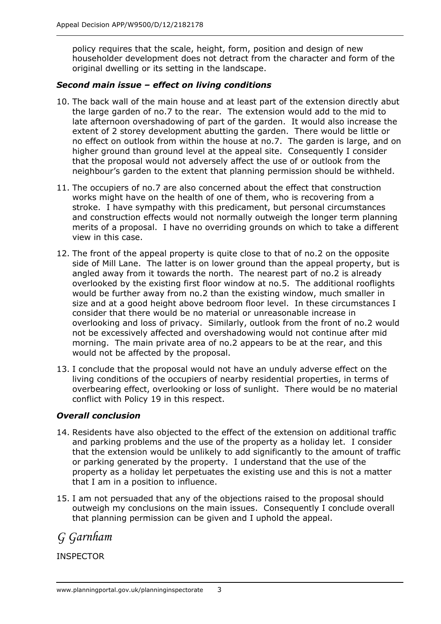policy requires that the scale, height, form, position and design of new householder development does not detract from the character and form of the original dwelling or its setting in the landscape.

## *Second main issue – effect on living conditions*

- 10. The back wall of the main house and at least part of the extension directly abut the large garden of no.7 to the rear. The extension would add to the mid to late afternoon overshadowing of part of the garden. It would also increase the extent of 2 storey development abutting the garden. There would be little or no effect on outlook from within the house at no.7. The garden is large, and on higher ground than ground level at the appeal site. Consequently I consider that the proposal would not adversely affect the use of or outlook from the neighbour's garden to the extent that planning permission should be withheld.
- 11. The occupiers of no.7 are also concerned about the effect that construction works might have on the health of one of them, who is recovering from a stroke. I have sympathy with this predicament, but personal circumstances and construction effects would not normally outweigh the longer term planning merits of a proposal. I have no overriding grounds on which to take a different view in this case.
- 12. The front of the appeal property is quite close to that of no.2 on the opposite side of Mill Lane. The latter is on lower ground than the appeal property, but is angled away from it towards the north. The nearest part of no.2 is already overlooked by the existing first floor window at no.5. The additional rooflights would be further away from no.2 than the existing window, much smaller in size and at a good height above bedroom floor level. In these circumstances I consider that there would be no material or unreasonable increase in overlooking and loss of privacy. Similarly, outlook from the front of no.2 would not be excessively affected and overshadowing would not continue after mid morning. The main private area of no.2 appears to be at the rear, and this would not be affected by the proposal.
- 13. I conclude that the proposal would not have an unduly adverse effect on the living conditions of the occupiers of nearby residential properties, in terms of overbearing effect, overlooking or loss of sunlight. There would be no material conflict with Policy 19 in this respect.

## *Overall conclusion*

- 14. Residents have also objected to the effect of the extension on additional traffic and parking problems and the use of the property as a holiday let. I consider that the extension would be unlikely to add significantly to the amount of traffic or parking generated by the property. I understand that the use of the property as a holiday let perpetuates the existing use and this is not a matter that I am in a position to influence.
- 15. I am not persuaded that any of the objections raised to the proposal should outweigh my conclusions on the main issues. Consequently I conclude overall that planning permission can be given and I uphold the appeal.

*G Garnham*

## INSPECTOR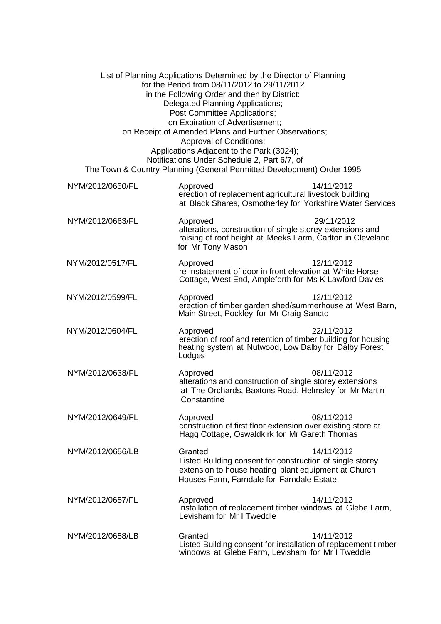| List of Planning Applications Determined by the Director of Planning<br>for the Period from 08/11/2012 to 29/11/2012<br>in the Following Order and then by District:<br><b>Delegated Planning Applications;</b><br>Post Committee Applications;<br>on Expiration of Advertisement;<br>on Receipt of Amended Plans and Further Observations;<br>Approval of Conditions;<br>Applications Adjacent to the Park (3024);<br>Notifications Under Schedule 2, Part 6/7, of<br>The Town & Country Planning (General Permitted Development) Order 1995 |                                                                                                                                                                           |            |
|-----------------------------------------------------------------------------------------------------------------------------------------------------------------------------------------------------------------------------------------------------------------------------------------------------------------------------------------------------------------------------------------------------------------------------------------------------------------------------------------------------------------------------------------------|---------------------------------------------------------------------------------------------------------------------------------------------------------------------------|------------|
| NYM/2012/0650/FL                                                                                                                                                                                                                                                                                                                                                                                                                                                                                                                              | Approved<br>erection of replacement agricultural livestock building<br>at Black Shares, Osmotherley for Yorkshire Water Services                                          | 14/11/2012 |
| NYM/2012/0663/FL                                                                                                                                                                                                                                                                                                                                                                                                                                                                                                                              | Approved<br>alterations, construction of single storey extensions and<br>raising of roof height at Meeks Farm, Carlton in Cleveland<br>for Mr Tony Mason                  | 29/11/2012 |
| NYM/2012/0517/FL                                                                                                                                                                                                                                                                                                                                                                                                                                                                                                                              | Approved<br>re-instatement of door in front elevation at White Horse<br>Cottage, West End, Ampleforth for Ms K Lawford Davies                                             | 12/11/2012 |
| NYM/2012/0599/FL                                                                                                                                                                                                                                                                                                                                                                                                                                                                                                                              | Approved<br>erection of timber garden shed/summerhouse at West Barn,<br>Main Street, Pockley for Mr Craig Sancto                                                          | 12/11/2012 |
| NYM/2012/0604/FL                                                                                                                                                                                                                                                                                                                                                                                                                                                                                                                              | Approved<br>erection of roof and retention of timber building for housing<br>heating system at Nutwood, Low Dalby for Dalby Forest<br>Lodges                              | 22/11/2012 |
| NYM/2012/0638/FL                                                                                                                                                                                                                                                                                                                                                                                                                                                                                                                              | Approved<br>alterations and construction of single storey extensions<br>at The Orchards, Baxtons Road, Helmsley for Mr Martin<br>Constantine                              | 08/11/2012 |
| NYM/2012/0649/FL                                                                                                                                                                                                                                                                                                                                                                                                                                                                                                                              | Approved<br>construction of first floor extension over existing store at<br>Hagg Cottage, Oswaldkirk for Mr Gareth Thomas                                                 | 08/11/2012 |
| NYM/2012/0656/LB                                                                                                                                                                                                                                                                                                                                                                                                                                                                                                                              | Granted<br>Listed Building consent for construction of single storey<br>extension to house heating plant equipment at Church<br>Houses Farm, Farndale for Farndale Estate | 14/11/2012 |
| NYM/2012/0657/FL                                                                                                                                                                                                                                                                                                                                                                                                                                                                                                                              | Approved<br>installation of replacement timber windows at Glebe Farm,<br>Levisham for Mr I Tweddle                                                                        | 14/11/2012 |
| NYM/2012/0658/LB                                                                                                                                                                                                                                                                                                                                                                                                                                                                                                                              | Granted<br>Listed Building consent for installation of replacement timber<br>windows at Glebe Farm, Levisham for Mr I Tweddle                                             | 14/11/2012 |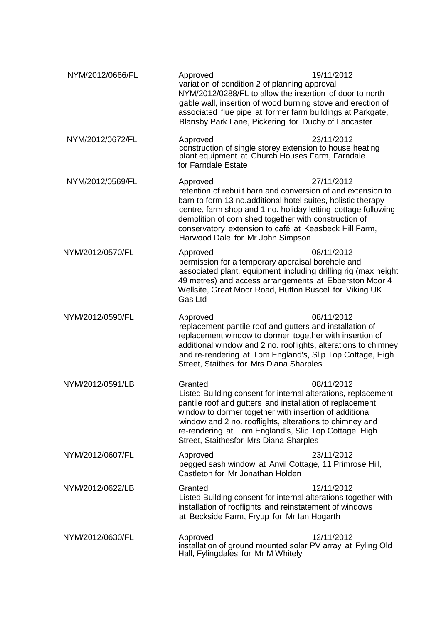| NYM/2012/0666/FL | Approved<br>variation of condition 2 of planning approval<br>NYM/2012/0288/FL to allow the insertion of door to north<br>gable wall, insertion of wood burning stove and erection of<br>associated flue pipe at former farm buildings at Parkgate,<br>Blansby Park Lane, Pickering for Duchy of Lancaster                                                       | 19/11/2012 |
|------------------|-----------------------------------------------------------------------------------------------------------------------------------------------------------------------------------------------------------------------------------------------------------------------------------------------------------------------------------------------------------------|------------|
| NYM/2012/0672/FL | Approved<br>construction of single storey extension to house heating<br>plant equipment at Church Houses Farm, Farndale<br>for Farndale Estate                                                                                                                                                                                                                  | 23/11/2012 |
| NYM/2012/0569/FL | Approved<br>retention of rebuilt barn and conversion of and extension to<br>barn to form 13 no.additional hotel suites, holistic therapy<br>centre, farm shop and 1 no. holiday letting cottage following<br>demolition of corn shed together with construction of<br>conservatory extension to café at Keasbeck Hill Farm,<br>Harwood Dale for Mr John Simpson | 27/11/2012 |
| NYM/2012/0570/FL | Approved<br>permission for a temporary appraisal borehole and<br>associated plant, equipment including drilling rig (max height<br>49 metres) and access arrangements at Ebberston Moor 4<br>Wellsite, Great Moor Road, Hutton Buscel for Viking UK<br>Gas Ltd                                                                                                  | 08/11/2012 |
| NYM/2012/0590/FL | Approved<br>replacement pantile roof and gutters and installation of<br>replacement window to dormer together with insertion of<br>additional window and 2 no. rooflights, alterations to chimney<br>and re-rendering at Tom England's, Slip Top Cottage, High<br>Street, Staithes for Mrs Diana Sharples                                                       | 08/11/2012 |
| NYM/2012/0591/LB | Granted<br>Listed Building consent for internal alterations, replacement<br>pantile roof and gutters and installation of replacement<br>window to dormer together with insertion of additional<br>window and 2 no. rooflights, alterations to chimney and<br>re-rendering at Tom England's, Slip Top Cottage, High<br>Street, Staithesfor Mrs Diana Sharples    | 08/11/2012 |
| NYM/2012/0607/FL | Approved<br>pegged sash window at Anvil Cottage, 11 Primrose Hill,<br>Castleton for Mr Jonathan Holden                                                                                                                                                                                                                                                          | 23/11/2012 |
| NYM/2012/0622/LB | Granted<br>Listed Building consent for internal alterations together with<br>installation of rooflights and reinstatement of windows<br>at Beckside Farm, Fryup for Mr Ian Hogarth                                                                                                                                                                              | 12/11/2012 |
| NYM/2012/0630/FL | Approved<br>installation of ground mounted solar PV array at Fyling Old<br>Hall, Fylingdales for Mr M Whitely                                                                                                                                                                                                                                                   | 12/11/2012 |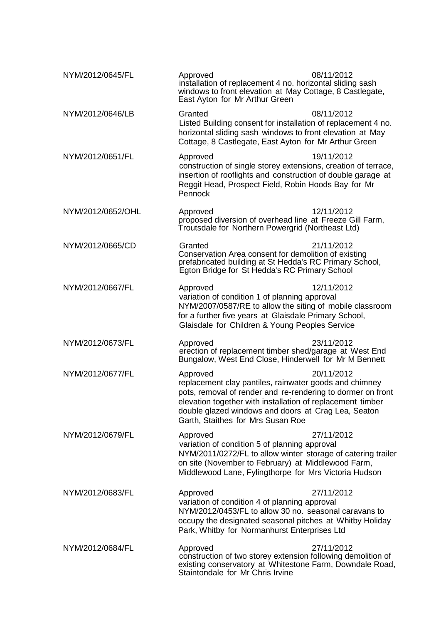| NYM/2012/0645/FL  | Approved<br>installation of replacement 4 no. horizontal sliding sash<br>windows to front elevation at May Cottage, 8 Castlegate,<br>East Ayton for Mr Arthur Green                                                                                                                         | 08/11/2012 |
|-------------------|---------------------------------------------------------------------------------------------------------------------------------------------------------------------------------------------------------------------------------------------------------------------------------------------|------------|
| NYM/2012/0646/LB  | Granted<br>Listed Building consent for installation of replacement 4 no.<br>horizontal sliding sash windows to front elevation at May<br>Cottage, 8 Castlegate, East Ayton for Mr Arthur Green                                                                                              | 08/11/2012 |
| NYM/2012/0651/FL  | Approved<br>construction of single storey extensions, creation of terrace,<br>insertion of rooflights and construction of double garage at<br>Reggit Head, Prospect Field, Robin Hoods Bay for Mr<br>Pennock                                                                                | 19/11/2012 |
| NYM/2012/0652/OHL | Approved<br>proposed diversion of overhead line at Freeze Gill Farm,<br>Troutsdale for Northern Powergrid (Northeast Ltd)                                                                                                                                                                   | 12/11/2012 |
| NYM/2012/0665/CD  | Granted<br>Conservation Area consent for demolition of existing<br>prefabricated building at St Hedda's RC Primary School,<br>Egton Bridge for St Hedda's RC Primary School                                                                                                                 | 21/11/2012 |
| NYM/2012/0667/FL  | Approved<br>variation of condition 1 of planning approval<br>NYM/2007/0587/RE to allow the siting of mobile classroom<br>for a further five years at Glaisdale Primary School,<br>Glaisdale for Children & Young Peoples Service                                                            | 12/11/2012 |
| NYM/2012/0673/FL  | Approved<br>erection of replacement timber shed/garage at West End<br>Bungalow, West End Close, Hinderwell for Mr M Bennett                                                                                                                                                                 | 23/11/2012 |
| NYM/2012/0677/FL  | Approved<br>replacement clay pantiles, rainwater goods and chimney<br>pots, removal of render and re-rendering to dormer on front<br>elevation together with installation of replacement timber<br>double glazed windows and doors at Crag Lea, Seaton<br>Garth, Staithes for Mrs Susan Roe | 20/11/2012 |
| NYM/2012/0679/FL  | Approved<br>variation of condition 5 of planning approval<br>NYM/2011/0272/FL to allow winter storage of catering trailer<br>on site (November to February) at Middlewood Farm,<br>Middlewood Lane, Fylingthorpe for Mrs Victoria Hudson                                                    | 27/11/2012 |
| NYM/2012/0683/FL  | Approved<br>variation of condition 4 of planning approval<br>NYM/2012/0453/FL to allow 30 no. seasonal caravans to<br>occupy the designated seasonal pitches at Whitby Holiday<br>Park, Whitby for Normanhurst Enterprises Ltd                                                              | 27/11/2012 |
| NYM/2012/0684/FL  | Approved<br>construction of two storey extension following demolition of<br>existing conservatory at Whitestone Farm, Downdale Road,<br>Staintondale for Mr Chris Irvine                                                                                                                    | 27/11/2012 |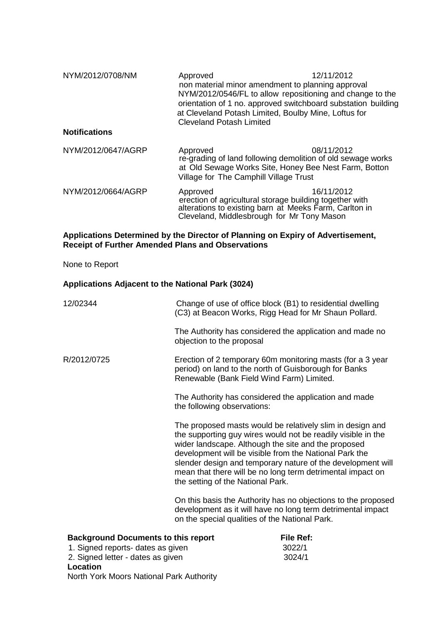NYM/2012/0708/NM Approved 12/11/2012 non material minor amendment to planning approval NYM/2012/0546/FL to allow repositioning and change to the orientation of 1 no. approved switchboard substation building at Cleveland Potash Limited, Boulby Mine, Loftus for Cleveland Potash Limited

## **Notifications**

| NYM/2012/0647/AGRP | Approved<br>Village for The Camphill Village Trust | 08/11/2012<br>re-grading of land following demolition of old sewage works<br>at Old Sewage Works Site, Honey Bee Nest Farm, Botton |
|--------------------|----------------------------------------------------|------------------------------------------------------------------------------------------------------------------------------------|
| NYM/2012/0664/AGRP | Approved                                           | 16/11/2012<br>erection of agricultural storage building together with                                                              |

## **Applications Determined by the Director of Planning on Expiry of Advertisement, Receipt of Further Amended Plans and Observations**

alterations to existing barn at Meeks Farm, Carlton in<br>Cleveland, Middlesbrough for Mr Tony Mason

None to Report

#### **Applications Adjacent to the National Park (3024)**

| 12/02344                                                                                                                         | Change of use of office block (B1) to residential dwelling<br>(C3) at Beacon Works, Rigg Head for Mr Shaun Pollard.                                                                                                                                                                                                                                                                                          |  |
|----------------------------------------------------------------------------------------------------------------------------------|--------------------------------------------------------------------------------------------------------------------------------------------------------------------------------------------------------------------------------------------------------------------------------------------------------------------------------------------------------------------------------------------------------------|--|
|                                                                                                                                  | The Authority has considered the application and made no<br>objection to the proposal                                                                                                                                                                                                                                                                                                                        |  |
| R/2012/0725                                                                                                                      | Erection of 2 temporary 60m monitoring masts (for a 3 year<br>period) on land to the north of Guisborough for Banks<br>Renewable (Bank Field Wind Farm) Limited.                                                                                                                                                                                                                                             |  |
|                                                                                                                                  | The Authority has considered the application and made<br>the following observations:                                                                                                                                                                                                                                                                                                                         |  |
|                                                                                                                                  | The proposed masts would be relatively slim in design and<br>the supporting guy wires would not be readily visible in the<br>wider landscape. Although the site and the proposed<br>development will be visible from the National Park the<br>slender design and temporary nature of the development will<br>mean that there will be no long term detrimental impact on<br>the setting of the National Park. |  |
|                                                                                                                                  | On this basis the Authority has no objections to the proposed<br>development as it will have no long term detrimental impact<br>on the special qualities of the National Park.                                                                                                                                                                                                                               |  |
| <b>Background Documents to this report</b><br>1. Signed reports- dates as given<br>2. Signed letter - dates as given<br>Location | <b>File Ref:</b><br>3022/1<br>3024/1                                                                                                                                                                                                                                                                                                                                                                         |  |

North York Moors National Park Authority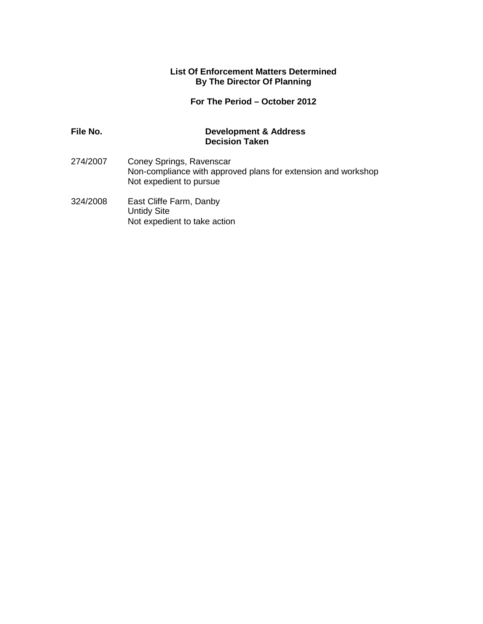#### **List Of Enforcement Matters Determined By The Director Of Planning**

## **For The Period – October 2012**

## **File No. Development & Address Decision Taken**

- 274/2007 Coney Springs, Ravenscar Non-compliance with approved plans for extension and workshop Not expedient to pursue
- 324/2008 East Cliffe Farm, Danby Untidy Site Not expedient to take action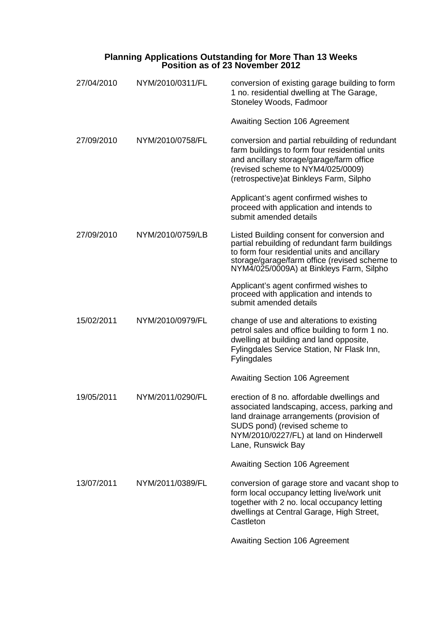| <b>Planning Applications Outstanding for More Than 13 Weeks</b> |  |
|-----------------------------------------------------------------|--|
| Position as of 23 November 2012                                 |  |

| 27/04/2010 | NYM/2010/0311/FL | conversion of existing garage building to form<br>1 no. residential dwelling at The Garage,<br>Stoneley Woods, Fadmoor                                                                                                                    |
|------------|------------------|-------------------------------------------------------------------------------------------------------------------------------------------------------------------------------------------------------------------------------------------|
|            |                  | <b>Awaiting Section 106 Agreement</b>                                                                                                                                                                                                     |
| 27/09/2010 | NYM/2010/0758/FL | conversion and partial rebuilding of redundant<br>farm buildings to form four residential units<br>and ancillary storage/garage/farm office<br>(revised scheme to NYM4/025/0009)<br>(retrospective) at Binkleys Farm, Silpho              |
|            |                  | Applicant's agent confirmed wishes to<br>proceed with application and intends to<br>submit amended details                                                                                                                                |
| 27/09/2010 | NYM/2010/0759/LB | Listed Building consent for conversion and<br>partial rebuilding of redundant farm buildings<br>to form four residential units and ancillary<br>storage/garage/farm office (revised scheme to<br>NYM4/025/0009A) at Binkleys Farm, Silpho |
|            |                  | Applicant's agent confirmed wishes to<br>proceed with application and intends to<br>submit amended details                                                                                                                                |
| 15/02/2011 | NYM/2010/0979/FL | change of use and alterations to existing<br>petrol sales and office building to form 1 no.<br>dwelling at building and land opposite,<br>Fylingdales Service Station, Nr Flask Inn,<br>Fylingdales                                       |
|            |                  | <b>Awaiting Section 106 Agreement</b>                                                                                                                                                                                                     |
| 19/05/2011 | NYM/2011/0290/FL | erection of 8 no. affordable dwellings and<br>associated landscaping, access, parking and<br>land drainage arrangements (provision of<br>SUDS pond) (revised scheme to<br>NYM/2010/0227/FL) at land on Hinderwell<br>Lane, Runswick Bay   |
|            |                  | <b>Awaiting Section 106 Agreement</b>                                                                                                                                                                                                     |
| 13/07/2011 | NYM/2011/0389/FL | conversion of garage store and vacant shop to<br>form local occupancy letting live/work unit<br>together with 2 no. local occupancy letting<br>dwellings at Central Garage, High Street,<br>Castleton                                     |
|            |                  | <b>Awaiting Section 106 Agreement</b>                                                                                                                                                                                                     |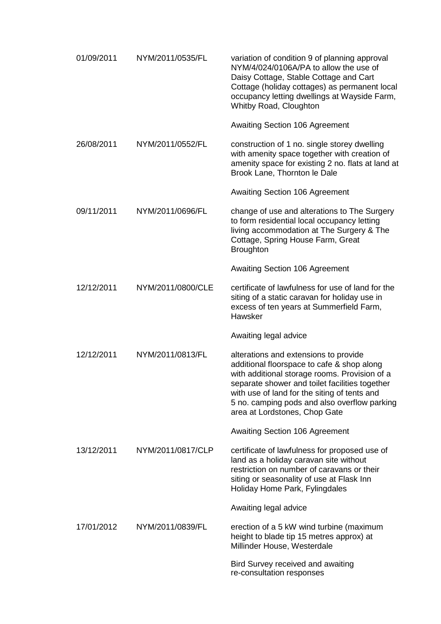| 01/09/2011 | NYM/2011/0535/FL  | variation of condition 9 of planning approval<br>NYM/4/024/0106A/PA to allow the use of<br>Daisy Cottage, Stable Cottage and Cart<br>Cottage (holiday cottages) as permanent local<br>occupancy letting dwellings at Wayside Farm,<br>Whitby Road, Cloughton                                                            |
|------------|-------------------|-------------------------------------------------------------------------------------------------------------------------------------------------------------------------------------------------------------------------------------------------------------------------------------------------------------------------|
|            |                   | <b>Awaiting Section 106 Agreement</b>                                                                                                                                                                                                                                                                                   |
| 26/08/2011 | NYM/2011/0552/FL  | construction of 1 no. single storey dwelling<br>with amenity space together with creation of<br>amenity space for existing 2 no. flats at land at<br>Brook Lane, Thornton le Dale                                                                                                                                       |
|            |                   | <b>Awaiting Section 106 Agreement</b>                                                                                                                                                                                                                                                                                   |
| 09/11/2011 | NYM/2011/0696/FL  | change of use and alterations to The Surgery<br>to form residential local occupancy letting<br>living accommodation at The Surgery & The<br>Cottage, Spring House Farm, Great<br><b>Broughton</b>                                                                                                                       |
|            |                   | <b>Awaiting Section 106 Agreement</b>                                                                                                                                                                                                                                                                                   |
| 12/12/2011 | NYM/2011/0800/CLE | certificate of lawfulness for use of land for the<br>siting of a static caravan for holiday use in<br>excess of ten years at Summerfield Farm,<br>Hawsker                                                                                                                                                               |
|            |                   | Awaiting legal advice                                                                                                                                                                                                                                                                                                   |
| 12/12/2011 | NYM/2011/0813/FL  | alterations and extensions to provide<br>additional floorspace to cafe & shop along<br>with additional storage rooms. Provision of a<br>separate shower and toilet facilities together<br>with use of land for the siting of tents and<br>5 no. camping pods and also overflow parking<br>area at Lordstones, Chop Gate |
|            |                   | <b>Awaiting Section 106 Agreement</b>                                                                                                                                                                                                                                                                                   |
| 13/12/2011 | NYM/2011/0817/CLP | certificate of lawfulness for proposed use of<br>land as a holiday caravan site without<br>restriction on number of caravans or their<br>siting or seasonality of use at Flask Inn<br>Holiday Home Park, Fylingdales                                                                                                    |
|            |                   | Awaiting legal advice                                                                                                                                                                                                                                                                                                   |
| 17/01/2012 | NYM/2011/0839/FL  | erection of a 5 kW wind turbine (maximum<br>height to blade tip 15 metres approx) at<br>Millinder House, Westerdale                                                                                                                                                                                                     |
|            |                   | Bird Survey received and awaiting<br>re-consultation responses                                                                                                                                                                                                                                                          |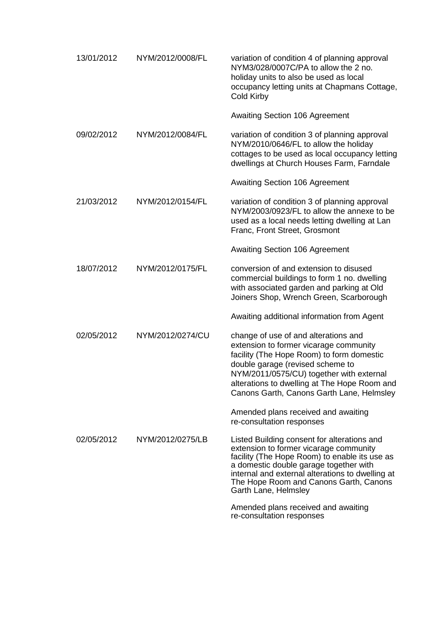| 13/01/2012 | NYM/2012/0008/FL | variation of condition 4 of planning approval<br>NYM3/028/0007C/PA to allow the 2 no.<br>holiday units to also be used as local<br>occupancy letting units at Chapmans Cottage,<br>Cold Kirby                                                                                                            |
|------------|------------------|----------------------------------------------------------------------------------------------------------------------------------------------------------------------------------------------------------------------------------------------------------------------------------------------------------|
|            |                  | <b>Awaiting Section 106 Agreement</b>                                                                                                                                                                                                                                                                    |
| 09/02/2012 | NYM/2012/0084/FL | variation of condition 3 of planning approval<br>NYM/2010/0646/FL to allow the holiday<br>cottages to be used as local occupancy letting<br>dwellings at Church Houses Farm, Farndale                                                                                                                    |
|            |                  | <b>Awaiting Section 106 Agreement</b>                                                                                                                                                                                                                                                                    |
| 21/03/2012 | NYM/2012/0154/FL | variation of condition 3 of planning approval<br>NYM/2003/0923/FL to allow the annexe to be<br>used as a local needs letting dwelling at Lan<br>Franc, Front Street, Grosmont                                                                                                                            |
|            |                  | <b>Awaiting Section 106 Agreement</b>                                                                                                                                                                                                                                                                    |
| 18/07/2012 | NYM/2012/0175/FL | conversion of and extension to disused<br>commercial buildings to form 1 no. dwelling<br>with associated garden and parking at Old<br>Joiners Shop, Wrench Green, Scarborough                                                                                                                            |
|            |                  | Awaiting additional information from Agent                                                                                                                                                                                                                                                               |
| 02/05/2012 | NYM/2012/0274/CU | change of use of and alterations and<br>extension to former vicarage community<br>facility (The Hope Room) to form domestic<br>double garage (revised scheme to<br>NYM/2011/0575/CU) together with external<br>alterations to dwelling at The Hope Room and<br>Canons Garth, Canons Garth Lane, Helmsley |
|            |                  | Amended plans received and awaiting<br>re-consultation responses                                                                                                                                                                                                                                         |
| 02/05/2012 | NYM/2012/0275/LB | Listed Building consent for alterations and<br>extension to former vicarage community<br>facility (The Hope Room) to enable its use as<br>a domestic double garage together with<br>internal and external alterations to dwelling at<br>The Hope Room and Canons Garth, Canons<br>Garth Lane, Helmsley   |
|            |                  | Amended plans received and awaiting<br>re-consultation responses                                                                                                                                                                                                                                         |